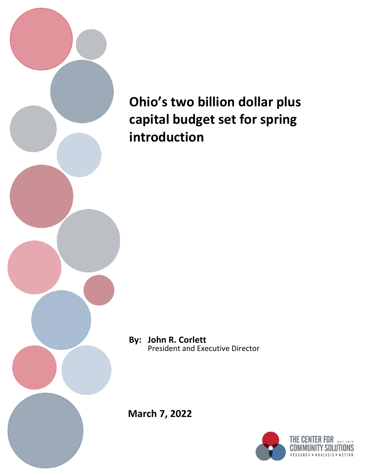

# **Ohio's two billion dollar plus capital budget set for spring introduction**

**By: John R. Corlett**  President and Executive Director

**March 7, 2022**

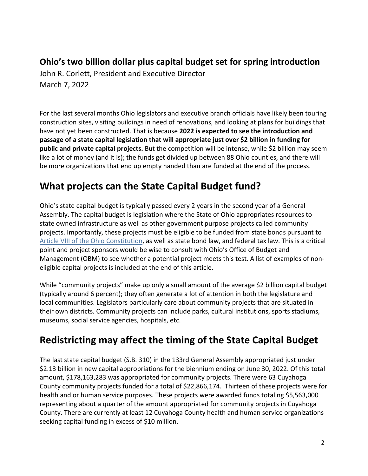### **Ohio's two billion dollar plus capital budget set for spring introduction**

John R. Corlett, President and Executive Director March 7, 2022

For the last several months Ohio legislators and executive branch officials have likely been touring construction sites, visiting buildings in need of renovations, and looking at plans for buildings that have not yet been constructed. That is because **2022 is expected to see the introduction and passage of a state capital legislation that will appropriate just over \$2 billion in funding for public and private capital projects.** But the competition will be intense, while \$2 billion may seem like a lot of money (and it is); the funds get divided up between 88 Ohio counties, and there will be more organizations that end up empty handed than are funded at the end of the process.

### **What projects can the State Capital Budget fund?**

Ohio's state capital budget is typically passed every 2 years in the second year of a General Assembly. The capital budget is legislation where the State of Ohio appropriates resources to state owned infrastructure as well as other government purpose projects called community projects. Importantly, these projects must be eligible to be funded from state bonds pursuant to [Article VIII of the Ohio Constitution,](https://codes.ohio.gov/ohio-constitution/article-8) as well as state bond law, and federal tax law. This is a critical point and project sponsors would be wise to consult with Ohio's Office of Budget and Management (OBM) to see whether a potential project meets this test. A list of examples of noneligible capital projects is included at the end of this article.

While "community projects" make up only a small amount of the average \$2 billion capital budget (typically around 6 percent); they often generate a lot of attention in both the legislature and local communities. Legislators particularly care about community projects that are situated in their own districts. Community projects can include parks, cultural institutions, sports stadiums, museums, social service agencies, hospitals, etc.

### **Redistricting may affect the timing of the State Capital Budget**

The last state capital budget (S.B. 310) in the 133rd General Assembly appropriated just under \$2.13 billion in new capital appropriations for the biennium ending on June 30, 2022. Of this total amount, \$178,163,283 was appropriated for community projects. There were 63 Cuyahoga County community projects funded for a total of \$22,866,174. Thirteen of these projects were for health and or human service purposes. These projects were awarded funds totaling \$5,563,000 representing about a quarter of the amount appropriated for community projects in Cuyahoga County. There are currently at least 12 Cuyahoga County health and human service organizations seeking capital funding in excess of \$10 million.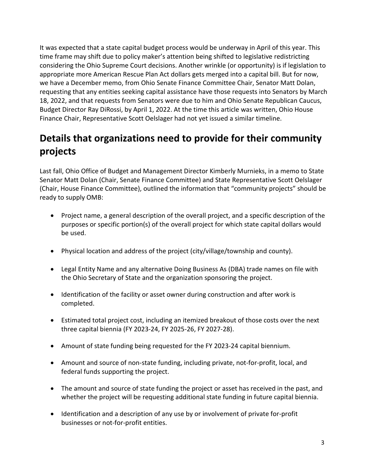It was expected that a state capital budget process would be underway in April of this year. This time frame may shift due to policy maker's attention being shifted to legislative redistricting considering the Ohio Supreme Court decisions. Another wrinkle (or opportunity) is if legislation to appropriate more American Rescue Plan Act dollars gets merged into a capital bill. But for now, we have a December memo, from Ohio Senate Finance Committee Chair, Senator Matt Dolan, requesting that any entities seeking capital assistance have those requests into Senators by March 18, 2022, and that requests from Senators were due to him and Ohio Senate Republican Caucus, Budget Director Ray DiRossi, by April 1, 2022. At the time this article was written, Ohio House Finance Chair, Representative Scott Oelslager had not yet issued a similar timeline.

## **Details that organizations need to provide for their community projects**

Last fall, Ohio Office of Budget and Management Director Kimberly Murnieks, in a memo to State Senator Matt Dolan (Chair, Senate Finance Committee) and State Representative Scott Oelslager (Chair, House Finance Committee), outlined the information that "community projects" should be ready to supply OMB:

- Project name, a general description of the overall project, and a specific description of the purposes or specific portion(s) of the overall project for which state capital dollars would be used.
- Physical location and address of the project (city/village/township and county).
- Legal Entity Name and any alternative Doing Business As (DBA) trade names on file with the Ohio Secretary of State and the organization sponsoring the project.
- Identification of the facility or asset owner during construction and after work is completed.
- Estimated total project cost, including an itemized breakout of those costs over the next three capital biennia (FY 2023-24, FY 2025-26, FY 2027-28).
- Amount of state funding being requested for the FY 2023-24 capital biennium.
- Amount and source of non-state funding, including private, not-for-profit, local, and federal funds supporting the project.
- The amount and source of state funding the project or asset has received in the past, and whether the project will be requesting additional state funding in future capital biennia.
- Identification and a description of any use by or involvement of private for-profit businesses or not-for-profit entities.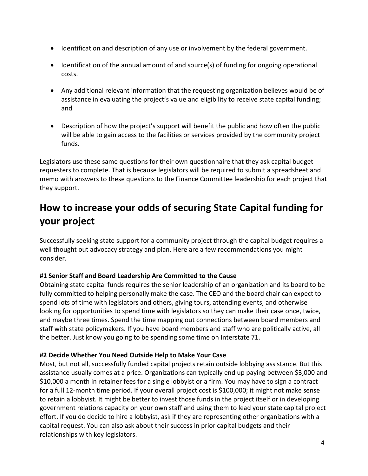- Identification and description of any use or involvement by the federal government.
- Identification of the annual amount of and source(s) of funding for ongoing operational costs.
- Any additional relevant information that the requesting organization believes would be of assistance in evaluating the project's value and eligibility to receive state capital funding; and
- Description of how the project's support will benefit the public and how often the public will be able to gain access to the facilities or services provided by the community project funds.

Legislators use these same questions for their own questionnaire that they ask capital budget requesters to complete. That is because legislators will be required to submit a spreadsheet and memo with answers to these questions to the Finance Committee leadership for each project that they support.

### **How to increase your odds of securing State Capital funding for your project**

Successfully seeking state support for a community project through the capital budget requires a well thought out advocacy strategy and plan. Here are a few recommendations you might consider.

#### **#1 Senior Staff and Board Leadership Are Committed to the Cause**

Obtaining state capital funds requires the senior leadership of an organization and its board to be fully committed to helping personally make the case. The CEO and the board chair can expect to spend lots of time with legislators and others, giving tours, attending events, and otherwise looking for opportunities to spend time with legislators so they can make their case once, twice, and maybe three times. Spend the time mapping out connections between board members and staff with state policymakers. If you have board members and staff who are politically active, all the better. Just know you going to be spending some time on Interstate 71.

#### **#2 Decide Whether You Need Outside Help to Make Your Case**

Most, but not all, successfully funded capital projects retain outside lobbying assistance. But this assistance usually comes at a price. Organizations can typically end up paying between \$3,000 and \$10,000 a month in retainer fees for a single lobbyist or a firm. You may have to sign a contract for a full 12-month time period. If your overall project cost is \$100,000; it might not make sense to retain a lobbyist. It might be better to invest those funds in the project itself or in developing government relations capacity on your own staff and using them to lead your state capital project effort. If you do decide to hire a lobbyist, ask if they are representing other organizations with a capital request. You can also ask about their success in prior capital budgets and their relationships with key legislators.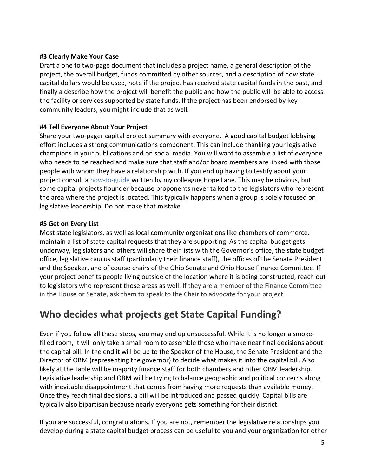#### **#3 Clearly Make Your Case**

Draft a one to two-page document that includes a project name, a general description of the project, the overall budget, funds committed by other sources, and a description of how state capital dollars would be used, note if the project has received state capital funds in the past, and finally a describe how the project will benefit the public and how the public will be able to access the facility or services supported by state funds. If the project has been endorsed by key community leaders, you might include that as well.

#### **#4 Tell Everyone About Your Project**

Share your two-pager capital project summary with everyone. A good capital budget lobbying effort includes a strong communications component. This can include thanking your legislative champions in your publications and on social media. You will want to assemble a list of everyone who needs to be reached and make sure that staff and/or board members are linked with those people with whom they have a relationship with. If you end up having to testify about your project consult a [how-to-guide](https://www.communitysolutions.com/effective-efficient-testimony-101/) written by my colleague Hope Lane. This may be obvious, but some capital projects flounder because proponents never talked to the legislators who represent the area where the project is located. This typically happens when a group is solely focused on legislative leadership. Do not make that mistake.

#### **#5 Get on Every List**

Most state legislators, as well as local community organizations like chambers of commerce, maintain a list of state capital requests that they are supporting. As the capital budget gets underway, legislators and others will share their lists with the Governor's office, the state budget office, legislative caucus staff (particularly their finance staff), the offices of the Senate President and the Speaker, and of course chairs of the Ohio Senate and Ohio House Finance Committee. If your project benefits people living outside of the location where it is being constructed, reach out to legislators who represent those areas as well. If they are a member of the Finance Committee in the House or Senate, ask them to speak to the Chair to advocate for your project.

### **Who decides what projects get State Capital Funding?**

Even if you follow all these steps, you may end up unsuccessful. While it is no longer a smokefilled room, it will only take a small room to assemble those who make near final decisions about the capital bill. In the end it will be up to the Speaker of the House, the Senate President and the Director of OBM (representing the governor) to decide what makes it into the capital bill. Also likely at the table will be majority finance staff for both chambers and other OBM leadership. Legislative leadership and OBM will be trying to balance geographic and political concerns along with inevitable disappointment that comes from having more requests than available money. Once they reach final decisions, a bill will be introduced and passed quickly. Capital bills are typically also bipartisan because nearly everyone gets something for their district.

If you are successful, congratulations. If you are not, remember the legislative relationships you develop during a state capital budget process can be useful to you and your organization for other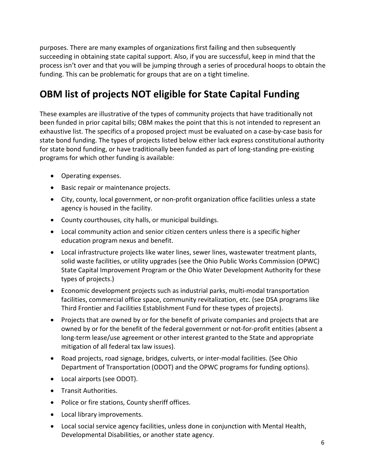purposes. There are many examples of organizations first failing and then subsequently succeeding in obtaining state capital support. Also, if you are successful, keep in mind that the process isn't over and that you will be jumping through a series of procedural hoops to obtain the funding. This can be problematic for groups that are on a tight timeline.

### **OBM list of projects NOT eligible for State Capital Funding**

These examples are illustrative of the types of community projects that have traditionally not been funded in prior capital bills; OBM makes the point that this is not intended to represent an exhaustive list. The specifics of a proposed project must be evaluated on a case-by-case basis for state bond funding. The types of projects listed below either lack express constitutional authority for state bond funding, or have traditionally been funded as part of long-standing pre-existing programs for which other funding is available:

- Operating expenses.
- Basic repair or maintenance projects.
- City, county, local government, or non-profit organization office facilities unless a state agency is housed in the facility.
- County courthouses, city halls, or municipal buildings.
- Local community action and senior citizen centers unless there is a specific higher education program nexus and benefit.
- Local infrastructure projects like water lines, sewer lines, wastewater treatment plants, solid waste facilities, or utility upgrades (see the Ohio Public Works Commission (OPWC) State Capital Improvement Program or the Ohio Water Development Authority for these types of projects.)
- Economic development projects such as industrial parks, multi-modal transportation facilities, commercial office space, community revitalization, etc. (see DSA programs like Third Frontier and Facilities Establishment Fund for these types of projects).
- Projects that are owned by or for the benefit of private companies and projects that are owned by or for the benefit of the federal government or not-for-profit entities (absent a long-term lease/use agreement or other interest granted to the State and appropriate mitigation of all federal tax law issues).
- Road projects, road signage, bridges, culverts, or inter-modal facilities. (See Ohio Department of Transportation (ODOT) and the OPWC programs for funding options).
- Local airports (see ODOT).
- Transit Authorities.
- Police or fire stations, County sheriff offices.
- Local library improvements.
- Local social service agency facilities, unless done in conjunction with Mental Health, Developmental Disabilities, or another state agency.